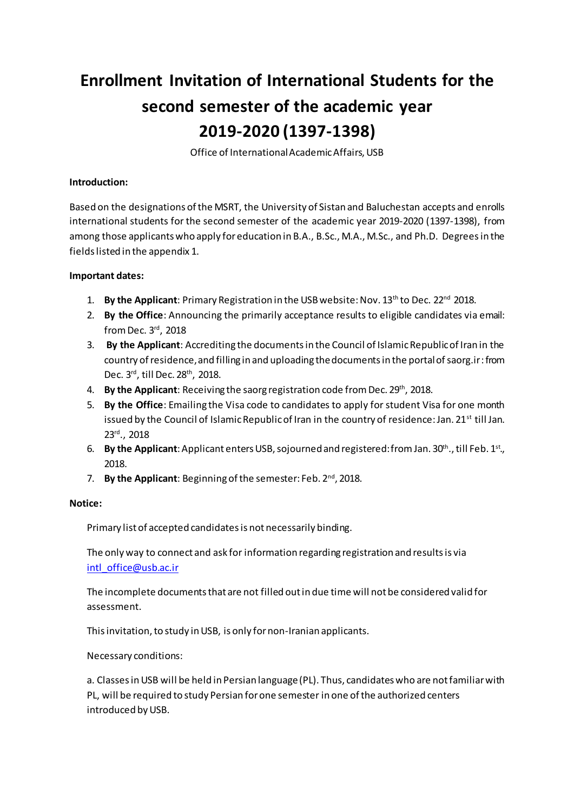# **Enrollment Invitation of International Students for the second semester of the academic year 2019-2020 (1397-1398)**

Office of International Academic Affairs, USB

#### **Introduction:**

Based on the designations of the MSRT, the University of Sistan and Baluchestan accepts and enrolls international students for the second semester of the academic year 2019-2020 (1397-1398), from among those applicants who apply for education in B.A., B.Sc., M.A., M.Sc., and Ph.D. Degreesin the fields listed in the appendix 1.

### **Important dates:**

- 1. **By the Applicant**: Primary Registration in the USB website: Nov. 13<sup>th</sup> to Dec. 22<sup>nd</sup> 2018.
- 2. **By the Office**: Announcing the primarily acceptance results to eligible candidates via email: from Dec. 3rd, 2018
- 3. **By the Applicant**: Accrediting the documents in the Council of Islamic Republic of Iran in the country of residence, and filling in and uploading the documents in the portal of saorg.ir: from Dec. 3rd, till Dec. 28th, 2018.
- 4. **By the Applicant**: Receiving the saorg registration code from Dec. 29<sup>th</sup>, 2018.
- 5. **By the Office**: Emailing the Visa code to candidates to apply forstudent Visa for one month issued by the Council of Islamic Republic of Iran in the country of residence: Jan. 21<sup>st</sup> till Jan. 23rd., 2018
- 6. **By the Applicant**: Applicant enters USB, sojourned and registered: from Jan. 30<sup>th</sup>., till Feb. 1<sup>st</sup>., 2018.
- 7. By the Applicant: Beginning of the semester: Feb. 2<sup>nd</sup>, 2018.

### **Notice:**

Primary list of accepted candidates is not necessarily binding.

The only way to connect and ask for information regarding registration and results is via [intl\\_office@usb.ac.ir](mailto:intl_office@usb.ac.ir)

The incomplete documents that are not filled out in due time will not be considered valid for assessment.

This invitation, to study in USB, is only for non-Iranian applicants.

Necessary conditions:

a. Classes in USB will be held in Persian language (PL). Thus, candidates who are not familiar with PL, will be required to study Persian for one semester in one of the authorized centers introduced by USB.